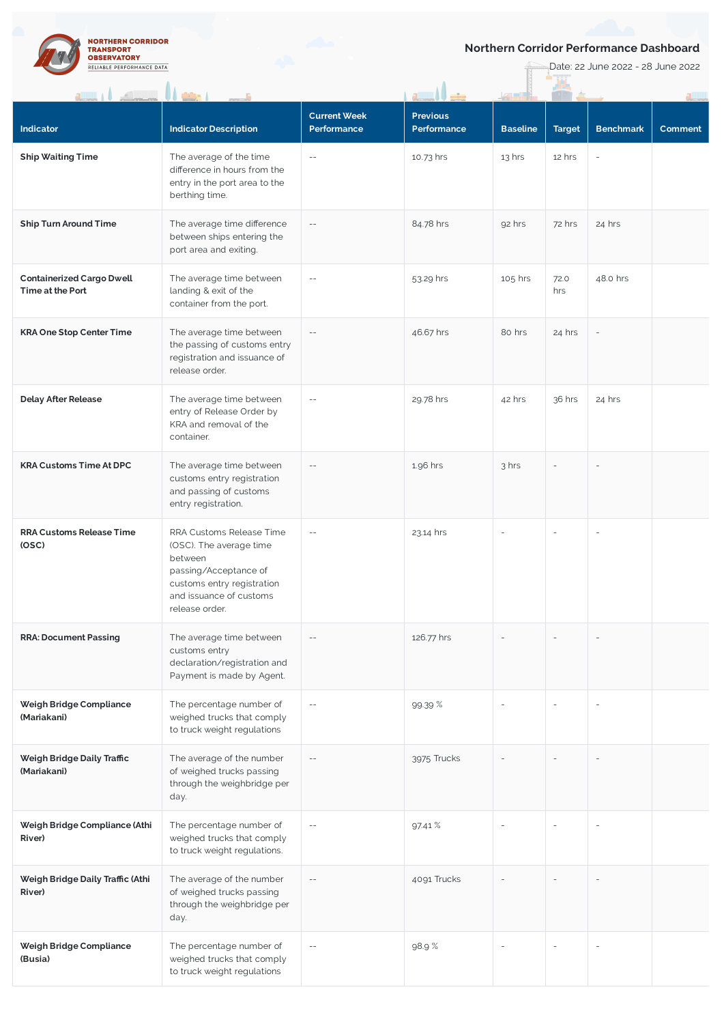

## **Northern Corridor Performance Dashboard**

**Date: 22 June 2022 - 28 June 2022** 

|                                                      | $\mathbf{u}$                                                                                                                                                       |                                    |                                |                 |               |                          |         |
|------------------------------------------------------|--------------------------------------------------------------------------------------------------------------------------------------------------------------------|------------------------------------|--------------------------------|-----------------|---------------|--------------------------|---------|
| Indicator                                            | <b>Indicator Description</b>                                                                                                                                       | <b>Current Week</b><br>Performance | <b>Previous</b><br>Performance | <b>Baseline</b> | <b>Target</b> | <b>Benchmark</b>         | Comment |
| <b>Ship Waiting Time</b>                             | The average of the time<br>difference in hours from the<br>entry in the port area to the<br>berthing time.                                                         | $- \, -$                           | 10.73 hrs                      | $13$ hrs        | 12 hrs        |                          |         |
| <b>Ship Turn Around Time</b>                         | The average time difference<br>between ships entering the<br>port area and exiting.                                                                                | $- \, -$                           | 84.78 hrs                      | 92 hrs          | 72 hrs        | 24 hrs                   |         |
| <b>Containerized Cargo Dwell</b><br>Time at the Port | The average time between<br>landing & exit of the<br>container from the port.                                                                                      | $\overline{\phantom{m}}$           | 53.29 hrs                      | 105 hrs         | 72.0<br>hrs   | 48.0 hrs                 |         |
| <b>KRA One Stop Center Time</b>                      | The average time between<br>the passing of customs entry<br>registration and issuance of<br>release order.                                                         | $- \, -$                           | 46.67 hrs                      | 80 hrs          | 24 hrs        | $\overline{\phantom{a}}$ |         |
| <b>Delay After Release</b>                           | The average time between<br>entry of Release Order by<br>KRA and removal of the<br>container.                                                                      | $-\,-$                             | 29.78 hrs                      | 42 hrs          | 36 hrs        | 24 hrs                   |         |
| <b>KRA Customs Time At DPC</b>                       | The average time between<br>customs entry registration<br>and passing of customs<br>entry registration.                                                            | $-\,-$                             | 1.96 hrs                       | 3 hrs           |               |                          |         |
| <b>RRA Customs Release Time</b><br>(OSC)             | RRA Customs Release Time<br>(OSC). The average time<br>between<br>passing/Acceptance of<br>customs entry registration<br>and issuance of customs<br>release order. | $-\,-$                             | 23.14 hrs                      | $\sim$          |               | ÷,                       |         |
| <b>RRA: Document Passing</b>                         | The average time between<br>customs entry<br>declaration/registration and<br>Payment is made by Agent.                                                             | $\qquad \qquad -$                  | 126.77 hrs                     |                 |               |                          |         |
| Weigh Bridge Compliance<br>(Mariakani)               | The percentage number of<br>weighed trucks that comply<br>to truck weight regulations                                                                              | $- \, -$                           | 99.39 %                        |                 |               |                          |         |
| Weigh Bridge Daily Traffic<br>(Mariakani)            | The average of the number<br>of weighed trucks passing<br>through the weighbridge per<br>day.                                                                      | $-\,-$                             | 3975 Trucks                    |                 |               |                          |         |
| Weigh Bridge Compliance (Athi<br>River)              | The percentage number of<br>weighed trucks that comply<br>to truck weight regulations.                                                                             | $\overline{\phantom{m}}$           | 97.41 %                        |                 |               |                          |         |
| Weigh Bridge Daily Traffic (Athi<br>River)           | The average of the number<br>of weighed trucks passing<br>through the weighbridge per<br>day.                                                                      | $-\,-$                             | 4091 Trucks                    |                 |               |                          |         |
| Weigh Bridge Compliance<br>(Busia)                   | The percentage number of<br>weighed trucks that comply<br>to truck weight regulations                                                                              | $- \, -$                           | 98.9%                          |                 | $\sim$        | ÷,                       |         |